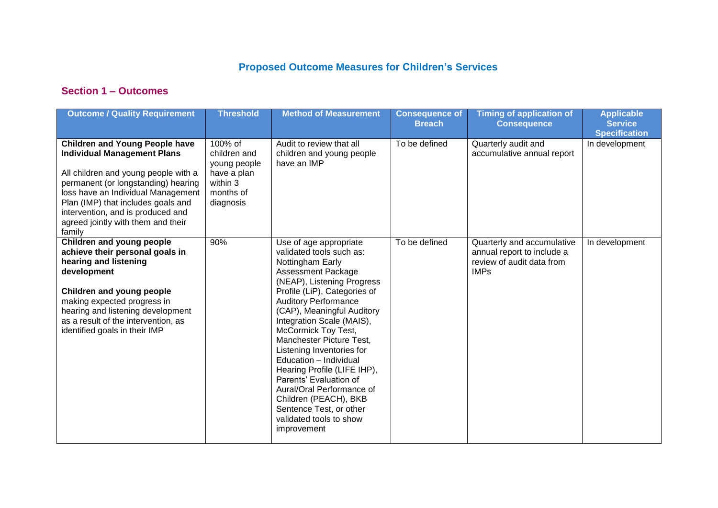## **Proposed Outcome Measures for Children's Services**

## **Section 1 – Outcomes**

| <b>Outcome / Quality Requirement</b>                                                                                                                                                                                                                                                                                        | <b>Threshold</b>                                                                             | <b>Method of Measurement</b>                                                                                                                                                                                                                                                                                                                                                                                                                                                                                                                              | <b>Consequence of</b><br><b>Breach</b> | <b>Timing of application of</b><br><b>Consequence</b>                                                | <b>Applicable</b><br><b>Service</b><br><b>Specification</b> |
|-----------------------------------------------------------------------------------------------------------------------------------------------------------------------------------------------------------------------------------------------------------------------------------------------------------------------------|----------------------------------------------------------------------------------------------|-----------------------------------------------------------------------------------------------------------------------------------------------------------------------------------------------------------------------------------------------------------------------------------------------------------------------------------------------------------------------------------------------------------------------------------------------------------------------------------------------------------------------------------------------------------|----------------------------------------|------------------------------------------------------------------------------------------------------|-------------------------------------------------------------|
| <b>Children and Young People have</b><br><b>Individual Management Plans</b><br>All children and young people with a<br>permanent (or longstanding) hearing<br>loss have an Individual Management<br>Plan (IMP) that includes goals and<br>intervention, and is produced and<br>agreed jointly with them and their<br>family | 100% of<br>children and<br>young people<br>have a plan<br>within 3<br>months of<br>diagnosis | Audit to review that all<br>children and young people<br>have an IMP                                                                                                                                                                                                                                                                                                                                                                                                                                                                                      | To be defined                          | Quarterly audit and<br>accumulative annual report                                                    | In development                                              |
| Children and young people<br>achieve their personal goals in<br>hearing and listening<br>development<br>Children and young people<br>making expected progress in<br>hearing and listening development<br>as a result of the intervention, as<br>identified goals in their IMP                                               | 90%                                                                                          | Use of age appropriate<br>validated tools such as:<br>Nottingham Early<br><b>Assessment Package</b><br>(NEAP), Listening Progress<br>Profile (LiP), Categories of<br><b>Auditory Performance</b><br>(CAP), Meaningful Auditory<br>Integration Scale (MAIS),<br>McCormick Toy Test,<br>Manchester Picture Test,<br>Listening Inventories for<br>Education - Individual<br>Hearing Profile (LIFE IHP),<br>Parents' Evaluation of<br>Aural/Oral Performance of<br>Children (PEACH), BKB<br>Sentence Test, or other<br>validated tools to show<br>improvement | To be defined                          | Quarterly and accumulative<br>annual report to include a<br>review of audit data from<br><b>IMPs</b> | In development                                              |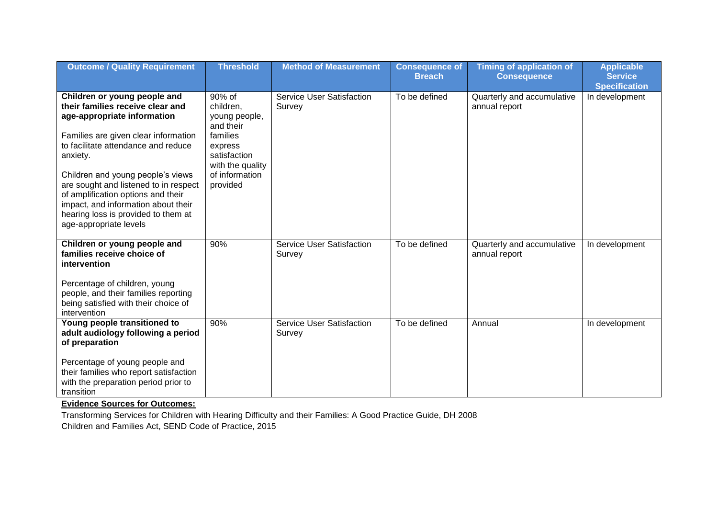| <b>Outcome / Quality Requirement</b>                                                                                                                                                                                                                                                                                                                                                                                   | <b>Threshold</b>                                                                                                                           | <b>Method of Measurement</b>               | <b>Consequence of</b><br><b>Breach</b> | <b>Timing of application of</b><br><b>Consequence</b> | <b>Applicable</b><br><b>Service</b>    |
|------------------------------------------------------------------------------------------------------------------------------------------------------------------------------------------------------------------------------------------------------------------------------------------------------------------------------------------------------------------------------------------------------------------------|--------------------------------------------------------------------------------------------------------------------------------------------|--------------------------------------------|----------------------------------------|-------------------------------------------------------|----------------------------------------|
| Children or young people and<br>their families receive clear and<br>age-appropriate information<br>Families are given clear information<br>to facilitate attendance and reduce<br>anxiety.<br>Children and young people's views<br>are sought and listened to in respect<br>of amplification options and their<br>impact, and information about their<br>hearing loss is provided to them at<br>age-appropriate levels | 90% of<br>children,<br>young people,<br>and their<br>families<br>express<br>satisfaction<br>with the quality<br>of information<br>provided | <b>Service User Satisfaction</b><br>Survey | To be defined                          | Quarterly and accumulative<br>annual report           | <b>Specification</b><br>In development |
| Children or young people and<br>families receive choice of<br>intervention<br>Percentage of children, young<br>people, and their families reporting<br>being satisfied with their choice of<br>intervention                                                                                                                                                                                                            | 90%                                                                                                                                        | <b>Service User Satisfaction</b><br>Survey | To be defined                          | Quarterly and accumulative<br>annual report           | In development                         |
| Young people transitioned to<br>adult audiology following a period<br>of preparation<br>Percentage of young people and<br>their families who report satisfaction<br>with the preparation period prior to<br>transition                                                                                                                                                                                                 | 90%                                                                                                                                        | <b>Service User Satisfaction</b><br>Survey | To be defined                          | Annual                                                | In development                         |

**Evidence Sources for Outcomes:**

Transforming Services for Children with Hearing Difficulty and their Families: A Good Practice Guide, DH 2008 Children and Families Act, SEND Code of Practice, 2015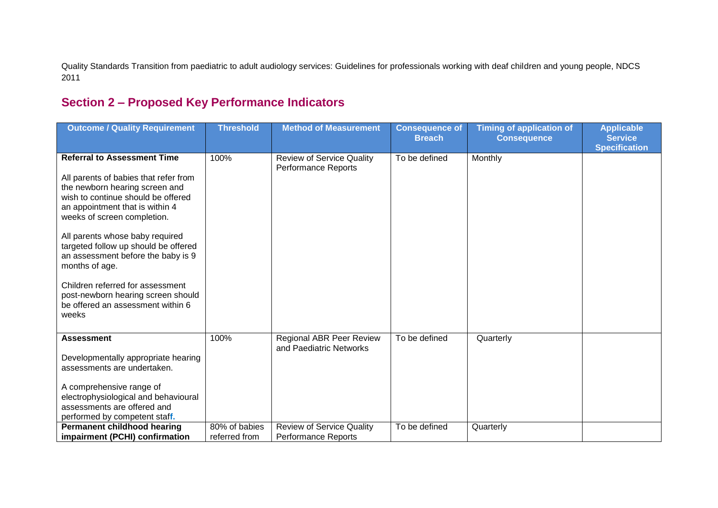Quality Standards Transition from paediatric to adult audiology services: Guidelines for professionals working with deaf children and young people, NDCS 2011

## **Section 2 – Proposed Key Performance Indicators**

| <b>Outcome / Quality Requirement</b>                                                                                                                                                                                                                                                                                                                                                                                                                                             | <b>Threshold</b>               | <b>Method of Measurement</b>                                   | <b>Consequence of</b><br><b>Breach</b> | <b>Timing of application of</b><br><b>Consequence</b> | <b>Applicable</b><br><b>Service</b><br><b>Specification</b> |
|----------------------------------------------------------------------------------------------------------------------------------------------------------------------------------------------------------------------------------------------------------------------------------------------------------------------------------------------------------------------------------------------------------------------------------------------------------------------------------|--------------------------------|----------------------------------------------------------------|----------------------------------------|-------------------------------------------------------|-------------------------------------------------------------|
| <b>Referral to Assessment Time</b><br>All parents of babies that refer from<br>the newborn hearing screen and<br>wish to continue should be offered<br>an appointment that is within 4<br>weeks of screen completion.<br>All parents whose baby required<br>targeted follow up should be offered<br>an assessment before the baby is 9<br>months of age.<br>Children referred for assessment<br>post-newborn hearing screen should<br>be offered an assessment within 6<br>weeks | 100%                           | <b>Review of Service Quality</b><br><b>Performance Reports</b> | To be defined                          | Monthly                                               |                                                             |
| <b>Assessment</b><br>Developmentally appropriate hearing<br>assessments are undertaken.<br>A comprehensive range of<br>electrophysiological and behavioural<br>assessments are offered and<br>performed by competent staff.                                                                                                                                                                                                                                                      | 100%                           | <b>Regional ABR Peer Review</b><br>and Paediatric Networks     | To be defined                          | Quarterly                                             |                                                             |
| <b>Permanent childhood hearing</b><br>impairment (PCHI) confirmation                                                                                                                                                                                                                                                                                                                                                                                                             | 80% of babies<br>referred from | <b>Review of Service Quality</b><br><b>Performance Reports</b> | To be defined                          | Quarterly                                             |                                                             |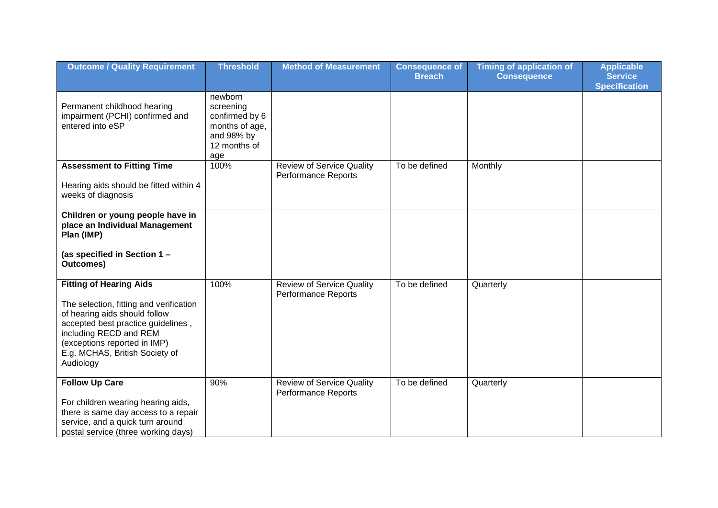| <b>Outcome / Quality Requirement</b>                                                                                                                                                                                                                      | <b>Threshold</b>                                                                              | <b>Method of Measurement</b>                                   | <b>Consequence of</b><br><b>Breach</b> | <b>Timing of application of</b><br><b>Consequence</b> | <b>Applicable</b><br><b>Service</b><br><b>Specification</b> |
|-----------------------------------------------------------------------------------------------------------------------------------------------------------------------------------------------------------------------------------------------------------|-----------------------------------------------------------------------------------------------|----------------------------------------------------------------|----------------------------------------|-------------------------------------------------------|-------------------------------------------------------------|
| Permanent childhood hearing<br>impairment (PCHI) confirmed and<br>entered into eSP                                                                                                                                                                        | newborn<br>screening<br>confirmed by 6<br>months of age,<br>and 98% by<br>12 months of<br>age |                                                                |                                        |                                                       |                                                             |
| <b>Assessment to Fitting Time</b><br>Hearing aids should be fitted within 4<br>weeks of diagnosis                                                                                                                                                         | 100%                                                                                          | <b>Review of Service Quality</b><br><b>Performance Reports</b> | To be defined                          | Monthly                                               |                                                             |
| Children or young people have in<br>place an Individual Management<br>Plan (IMP)                                                                                                                                                                          |                                                                                               |                                                                |                                        |                                                       |                                                             |
| (as specified in Section 1 -<br><b>Outcomes)</b>                                                                                                                                                                                                          |                                                                                               |                                                                |                                        |                                                       |                                                             |
| <b>Fitting of Hearing Aids</b><br>The selection, fitting and verification<br>of hearing aids should follow<br>accepted best practice guidelines,<br>including RECD and REM<br>(exceptions reported in IMP)<br>E.g. MCHAS, British Society of<br>Audiology | 100%                                                                                          | <b>Review of Service Quality</b><br><b>Performance Reports</b> | To be defined                          | Quarterly                                             |                                                             |
| <b>Follow Up Care</b><br>For children wearing hearing aids,<br>there is same day access to a repair<br>service, and a quick turn around<br>postal service (three working days)                                                                            | 90%                                                                                           | <b>Review of Service Quality</b><br>Performance Reports        | To be defined                          | Quarterly                                             |                                                             |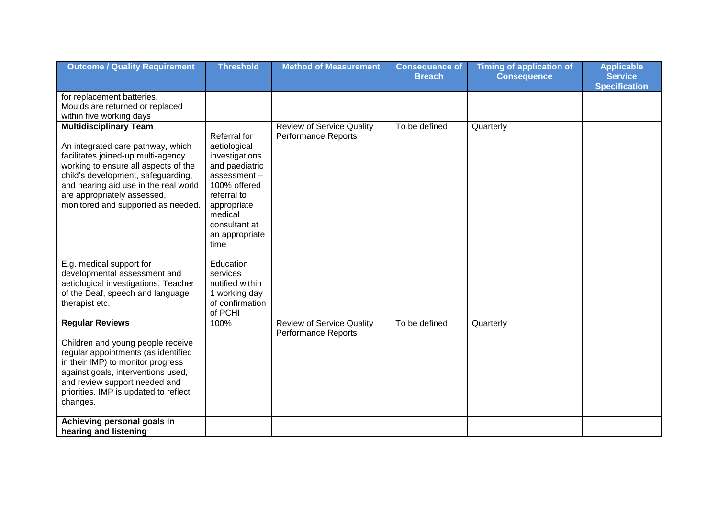| <b>Outcome / Quality Requirement</b>                                                                                                                                                                                                                                                                 | <b>Threshold</b>                                                                                                                                                                    | <b>Method of Measurement</b>                                   | <b>Consequence of</b><br><b>Breach</b> | <b>Timing of application of</b><br><b>Consequence</b> | <b>Applicable</b><br><b>Service</b> |
|------------------------------------------------------------------------------------------------------------------------------------------------------------------------------------------------------------------------------------------------------------------------------------------------------|-------------------------------------------------------------------------------------------------------------------------------------------------------------------------------------|----------------------------------------------------------------|----------------------------------------|-------------------------------------------------------|-------------------------------------|
|                                                                                                                                                                                                                                                                                                      |                                                                                                                                                                                     |                                                                |                                        |                                                       | <b>Specification</b>                |
| for replacement batteries.<br>Moulds are returned or replaced<br>within five working days                                                                                                                                                                                                            |                                                                                                                                                                                     |                                                                |                                        |                                                       |                                     |
| <b>Multidisciplinary Team</b><br>An integrated care pathway, which<br>facilitates joined-up multi-agency<br>working to ensure all aspects of the<br>child's development, safeguarding,<br>and hearing aid use in the real world<br>are appropriately assessed,<br>monitored and supported as needed. | Referral for<br>aetiological<br>investigations<br>and paediatric<br>assessment-<br>100% offered<br>referral to<br>appropriate<br>medical<br>consultant at<br>an appropriate<br>time | <b>Review of Service Quality</b><br><b>Performance Reports</b> | To be defined                          | Quarterly                                             |                                     |
| E.g. medical support for<br>developmental assessment and<br>aetiological investigations, Teacher<br>of the Deaf, speech and language<br>therapist etc.                                                                                                                                               | Education<br>services<br>notified within<br>1 working day<br>of confirmation<br>of PCHI                                                                                             |                                                                |                                        |                                                       |                                     |
| <b>Regular Reviews</b><br>Children and young people receive<br>regular appointments (as identified<br>in their IMP) to monitor progress<br>against goals, interventions used,<br>and review support needed and<br>priorities. IMP is updated to reflect<br>changes.                                  | 100%                                                                                                                                                                                | <b>Review of Service Quality</b><br><b>Performance Reports</b> | To be defined                          | Quarterly                                             |                                     |
| Achieving personal goals in<br>hearing and listening                                                                                                                                                                                                                                                 |                                                                                                                                                                                     |                                                                |                                        |                                                       |                                     |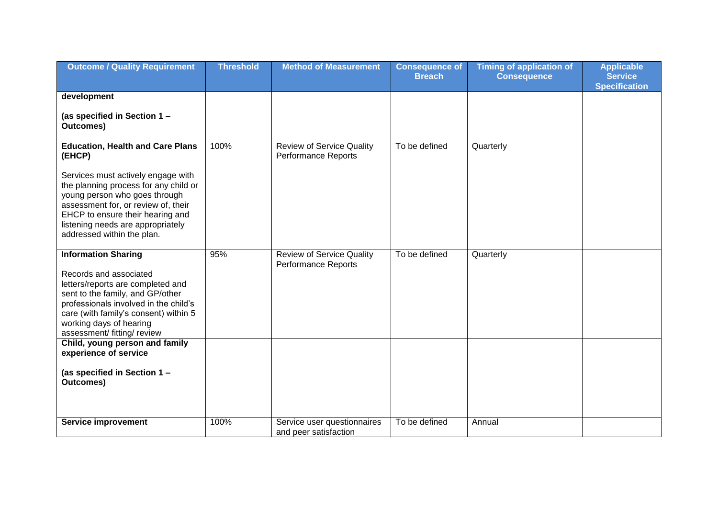| <b>Outcome / Quality Requirement</b>                                                                                                                                                                                                                                      | <b>Threshold</b> | <b>Method of Measurement</b>                                   | <b>Consequence of</b><br><b>Breach</b> | <b>Timing of application of</b><br><b>Consequence</b> | <b>Applicable</b><br><b>Service</b><br><b>Specification</b> |
|---------------------------------------------------------------------------------------------------------------------------------------------------------------------------------------------------------------------------------------------------------------------------|------------------|----------------------------------------------------------------|----------------------------------------|-------------------------------------------------------|-------------------------------------------------------------|
| development                                                                                                                                                                                                                                                               |                  |                                                                |                                        |                                                       |                                                             |
| (as specified in Section 1 -<br>Outcomes)                                                                                                                                                                                                                                 |                  |                                                                |                                        |                                                       |                                                             |
| <b>Education, Health and Care Plans</b><br>(EHCP)<br>Services must actively engage with                                                                                                                                                                                   | 100%             | <b>Review of Service Quality</b><br><b>Performance Reports</b> | To be defined                          | Quarterly                                             |                                                             |
| the planning process for any child or<br>young person who goes through<br>assessment for, or review of, their<br>EHCP to ensure their hearing and<br>listening needs are appropriately<br>addressed within the plan.                                                      |                  |                                                                |                                        |                                                       |                                                             |
| <b>Information Sharing</b><br>Records and associated<br>letters/reports are completed and<br>sent to the family, and GP/other<br>professionals involved in the child's<br>care (with family's consent) within 5<br>working days of hearing<br>assessment/ fitting/ review | 95%              | <b>Review of Service Quality</b><br><b>Performance Reports</b> | To be defined                          | Quarterly                                             |                                                             |
| Child, young person and family<br>experience of service                                                                                                                                                                                                                   |                  |                                                                |                                        |                                                       |                                                             |
| (as specified in Section 1 -<br><b>Outcomes)</b>                                                                                                                                                                                                                          |                  |                                                                |                                        |                                                       |                                                             |
| <b>Service improvement</b>                                                                                                                                                                                                                                                | 100%             | Service user questionnaires<br>and peer satisfaction           | To be defined                          | Annual                                                |                                                             |